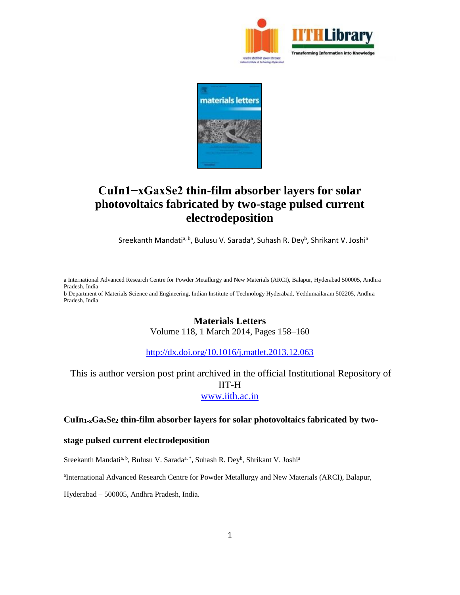



# **CuIn1−xGaxSe2 thin-film absorber layers for solar photovoltaics fabricated by two-stage pulsed current electrodeposition**

Sreekanth Mandati<sup>a, b</sup>, Bulusu V. Sarada<sup>a</sup>, Suhash R. Dey<sup>b</sup>, Shrikant V. Joshi<sup>a</sup>

a International Advanced Research Centre for Powder Metallurgy and New Materials (ARCI), Balapur, Hyderabad 500005, Andhra Pradesh, India b Department of Materials Science and Engineering, Indian Institute of Technology Hyderabad, Yeddumailaram 502205, Andhra Pradesh, India

## **Materials Letters**

Volume 118, 1 March 2014, Pages 158–160

<http://dx.doi.org/10.1016/j.matlet.2013.12.063>

# This is author version post print archived in the official Institutional Repository of IIT-H [www.iith.ac.in](http://www.iith.ac.in/)

### **CuIn1-xGaxSe<sup>2</sup> thin-film absorber layers for solar photovoltaics fabricated by two-**

### **stage pulsed current electrodeposition**

Sreekanth Mandati<sup>a, b</sup>, Bulusu V. Sarada<sup>a, \*</sup>, Suhash R. Dey<sup>b</sup>, Shrikant V. Joshi<sup>a</sup>

<sup>a</sup>International Advanced Research Centre for Powder Metallurgy and New Materials (ARCI), Balapur,

Hyderabad – 500005, Andhra Pradesh, India.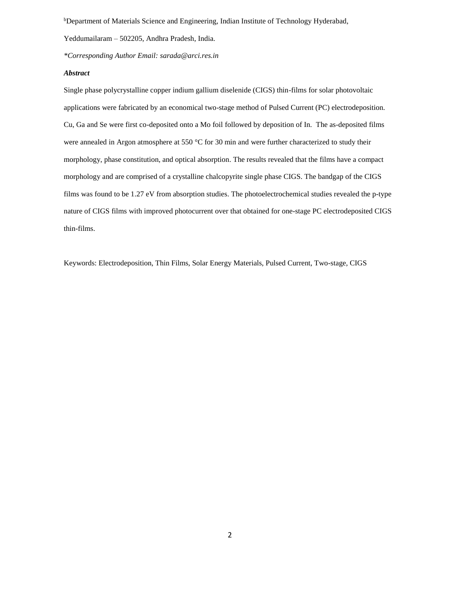<sup>b</sup>Department of Materials Science and Engineering, Indian Institute of Technology Hyderabad,

Yeddumailaram – 502205, Andhra Pradesh, India.

*\*Corresponding Author Email: sarada@arci.res.in*

#### *Abstract*

Single phase polycrystalline copper indium gallium diselenide (CIGS) thin-films for solar photovoltaic applications were fabricated by an economical two-stage method of Pulsed Current (PC) electrodeposition. Cu, Ga and Se were first co-deposited onto a Mo foil followed by deposition of In. The as-deposited films were annealed in Argon atmosphere at 550 °C for 30 min and were further characterized to study their morphology, phase constitution, and optical absorption. The results revealed that the films have a compact morphology and are comprised of a crystalline chalcopyrite single phase CIGS. The bandgap of the CIGS films was found to be 1.27 eV from absorption studies. The photoelectrochemical studies revealed the p-type nature of CIGS films with improved photocurrent over that obtained for one-stage PC electrodeposited CIGS thin-films.

Keywords: Electrodeposition, Thin Films, Solar Energy Materials, Pulsed Current, Two-stage, CIGS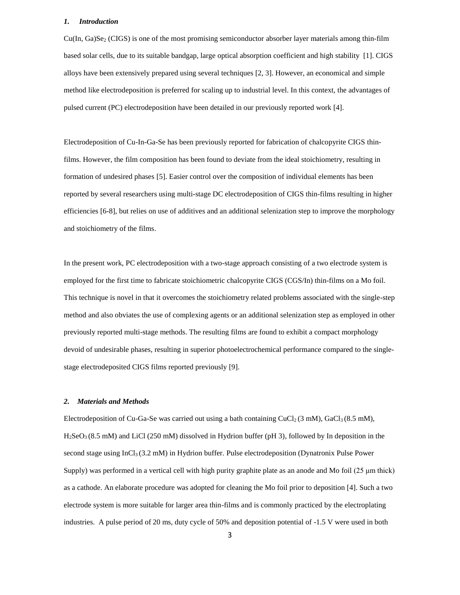#### *1. Introduction*

 $Cu(In, Ga)Se<sub>2</sub> (CIGS)$  is one of the most promising semiconductor absorber layer materials among thin-film based solar cells, due to its suitable bandgap, large optical absorption coefficient and high stability [1]. CIGS alloys have been extensively prepared using several techniques [2, 3]. However, an economical and simple method like electrodeposition is preferred for scaling up to industrial level. In this context, the advantages of pulsed current (PC) electrodeposition have been detailed in our previously reported work [4].

Electrodeposition of Cu-In-Ga-Se has been previously reported for fabrication of chalcopyrite CIGS thinfilms. However, the film composition has been found to deviate from the ideal stoichiometry, resulting in formation of undesired phases [5]. Easier control over the composition of individual elements has been reported by several researchers using multi-stage DC electrodeposition of CIGS thin-films resulting in higher efficiencies [6-8], but relies on use of additives and an additional selenization step to improve the morphology and stoichiometry of the films.

In the present work, PC electrodeposition with a two-stage approach consisting of a two electrode system is employed for the first time to fabricate stoichiometric chalcopyrite CIGS (CGS/In) thin-films on a Mo foil. This technique is novel in that it overcomes the stoichiometry related problems associated with the single-step method and also obviates the use of complexing agents or an additional selenization step as employed in other previously reported multi-stage methods. The resulting films are found to exhibit a compact morphology devoid of undesirable phases, resulting in superior photoelectrochemical performance compared to the singlestage electrodeposited CIGS films reported previously [9].

#### *2. Materials and Methods*

Electrodeposition of Cu-Ga-Se was carried out using a bath containing CuCl<sub>2</sub> (3 mM), GaCl<sub>3</sub> (8.5 mM),  $H_2$ SeO<sub>3</sub> (8.5 mM) and LiCl (250 mM) dissolved in Hydrion buffer (pH 3), followed by In deposition in the second stage using InCl<sub>3</sub> (3.2 mM) in Hydrion buffer. Pulse electrodeposition (Dynatronix Pulse Power Supply) was performed in a vertical cell with high purity graphite plate as an anode and Mo foil (25 μm thick) as a cathode. An elaborate procedure was adopted for cleaning the Mo foil prior to deposition [4]. Such a two electrode system is more suitable for larger area thin-films and is commonly practiced by the electroplating industries. A pulse period of 20 ms, duty cycle of 50% and deposition potential of -1.5 V were used in both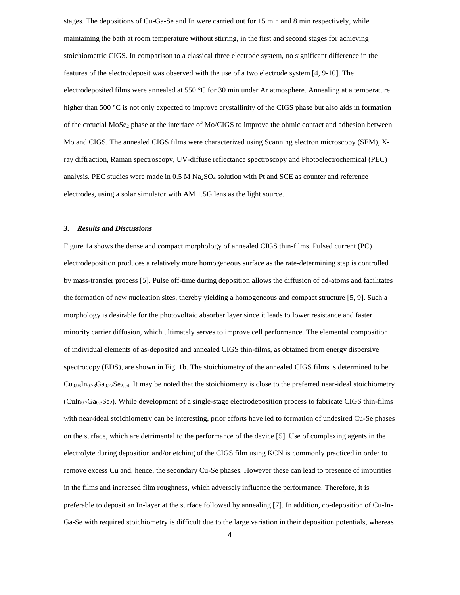stages. The depositions of Cu-Ga-Se and In were carried out for 15 min and 8 min respectively, while maintaining the bath at room temperature without stirring, in the first and second stages for achieving stoichiometric CIGS. In comparison to a classical three electrode system, no significant difference in the features of the electrodeposit was observed with the use of a two electrode system [4, 9-10]. The electrodeposited films were annealed at 550 °C for 30 min under Ar atmosphere. Annealing at a temperature higher than 500 °C is not only expected to improve crystallinity of the CIGS phase but also aids in formation of the crcucial MoSe<sub>2</sub> phase at the interface of Mo/CIGS to improve the ohmic contact and adhesion between Mo and CIGS. The annealed CIGS films were characterized using Scanning electron microscopy (SEM), Xray diffraction, Raman spectroscopy, UV-diffuse reflectance spectroscopy and Photoelectrochemical (PEC) analysis. PEC studies were made in  $0.5 M Na<sub>2</sub>SO<sub>4</sub>$  solution with Pt and SCE as counter and reference electrodes, using a solar simulator with AM 1.5G lens as the light source.

#### *3. Results and Discussions*

Figure 1a shows the dense and compact morphology of annealed CIGS thin-films. Pulsed current (PC) electrodeposition produces a relatively more homogeneous surface as the rate-determining step is controlled by mass-transfer process [5]. Pulse off-time during deposition allows the diffusion of ad-atoms and facilitates the formation of new nucleation sites, thereby yielding a homogeneous and compact structure [5, 9]. Such a morphology is desirable for the photovoltaic absorber layer since it leads to lower resistance and faster minority carrier diffusion, which ultimately serves to improve cell performance. The elemental composition of individual elements of as-deposited and annealed CIGS thin-films, as obtained from energy dispersive spectrocopy (EDS), are shown in Fig. 1b. The stoichiometry of the annealed CIGS films is determined to be  $Cu<sub>0.96</sub> In<sub>0.73</sub>Ga<sub>0.27</sub>Se<sub>2.04</sub>$ . It may be noted that the stoichiometry is close to the preferred near-ideal stoichiometry  $(Culn<sub>0.7</sub>Ga<sub>0.3</sub>Se<sub>2</sub>)$ . While development of a single-stage electrodeposition process to fabricate CIGS thin-films with near-ideal stoichiometry can be interesting, prior efforts have led to formation of undesired Cu-Se phases on the surface, which are detrimental to the performance of the device [5]. Use of complexing agents in the electrolyte during deposition and/or etching of the CIGS film using KCN is commonly practiced in order to remove excess Cu and, hence, the secondary Cu-Se phases. However these can lead to presence of impurities in the films and increased film roughness, which adversely influence the performance. Therefore, it is preferable to deposit an In-layer at the surface followed by annealing [7]. In addition, co-deposition of Cu-In-Ga-Se with required stoichiometry is difficult due to the large variation in their deposition potentials, whereas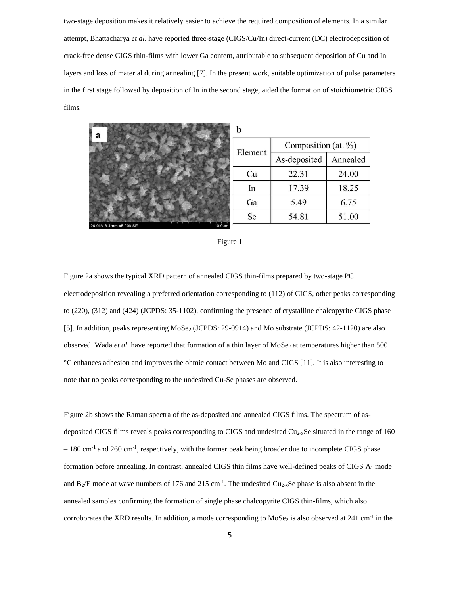two-stage deposition makes it relatively easier to achieve the required composition of elements. In a similar attempt, Bhattacharya *et al*. have reported three-stage (CIGS/Cu/In) direct-current (DC) electrodeposition of crack-free dense CIGS thin-films with lower Ga content, attributable to subsequent deposition of Cu and In layers and loss of material during annealing [7]. In the present work, suitable optimization of pulse parameters in the first stage followed by deposition of In in the second stage, aided the formation of stoichiometric CIGS films.



|--|--|--|

Figure 2a shows the typical XRD pattern of annealed CIGS thin-films prepared by two-stage PC electrodeposition revealing a preferred orientation corresponding to (112) of CIGS, other peaks corresponding to (220), (312) and (424) (JCPDS: 35-1102), confirming the presence of crystalline chalcopyrite CIGS phase [5]. In addition, peaks representing MoSe<sub>2</sub> (JCPDS: 29-0914) and Mo substrate (JCPDS: 42-1120) are also observed. Wada *et al*. have reported that formation of a thin layer of MoSe<sub>2</sub> at temperatures higher than 500 °C enhances adhesion and improves the ohmic contact between Mo and CIGS [11]. It is also interesting to note that no peaks corresponding to the undesired Cu-Se phases are observed.

Figure 2b shows the Raman spectra of the as-deposited and annealed CIGS films. The spectrum of asdeposited CIGS films reveals peaks corresponding to CIGS and undesired  $Cu_{2-x}Se$  situated in the range of 160  $-180$  cm<sup>-1</sup> and 260 cm<sup>-1</sup>, respectively, with the former peak being broader due to incomplete CIGS phase formation before annealing. In contrast, annealed CIGS thin films have well-defined peaks of CIGS A<sub>1</sub> mode and  $B_2/E$  mode at wave numbers of 176 and 215 cm<sup>-1</sup>. The undesired  $Cu_{2-x}Se$  phase is also absent in the annealed samples confirming the formation of single phase chalcopyrite CIGS thin-films, which also corroborates the XRD results. In addition, a mode corresponding to  $MoSe<sub>2</sub>$  is also observed at 241 cm<sup>-1</sup> in the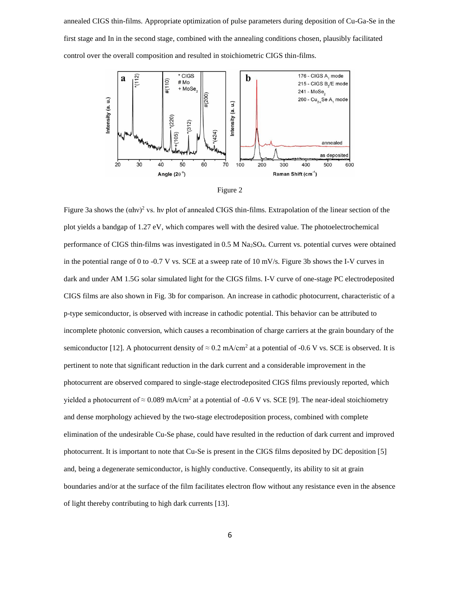annealed CIGS thin-films. Appropriate optimization of pulse parameters during deposition of Cu-Ga-Se in the first stage and In in the second stage, combined with the annealing conditions chosen, plausibly facilitated control over the overall composition and resulted in stoichiometric CIGS thin-films.





Figure 3a shows the  $(\alpha h v)^2$  vs. hv plot of annealed CIGS thin-films. Extrapolation of the linear section of the plot yields a bandgap of 1.27 eV, which compares well with the desired value. The photoelectrochemical performance of CIGS thin-films was investigated in 0.5 M Na2SO4. Current vs. potential curves were obtained in the potential range of 0 to -0.7 V vs. SCE at a sweep rate of 10 mV/s. Figure 3b shows the I-V curves in dark and under AM 1.5G solar simulated light for the CIGS films. I-V curve of one-stage PC electrodeposited CIGS films are also shown in Fig. 3b for comparison. An increase in cathodic photocurrent, characteristic of a p-type semiconductor, is observed with increase in cathodic potential. This behavior can be attributed to incomplete photonic conversion, which causes a recombination of charge carriers at the grain boundary of the semiconductor [12]. A photocurrent density of  $\approx 0.2$  mA/cm<sup>2</sup> at a potential of -0.6 V vs. SCE is observed. It is pertinent to note that significant reduction in the dark current and a considerable improvement in the photocurrent are observed compared to single-stage electrodeposited CIGS films previously reported, which yielded a photocurrent of  $\approx 0.089$  mA/cm<sup>2</sup> at a potential of -0.6 V vs. SCE [9]. The near-ideal stoichiometry and dense morphology achieved by the two-stage electrodeposition process, combined with complete elimination of the undesirable Cu-Se phase, could have resulted in the reduction of dark current and improved photocurrent. It is important to note that Cu-Se is present in the CIGS films deposited by DC deposition [5] and, being a degenerate semiconductor, is highly conductive. Consequently, its ability to sit at grain boundaries and/or at the surface of the film facilitates electron flow without any resistance even in the absence of light thereby contributing to high dark currents [13].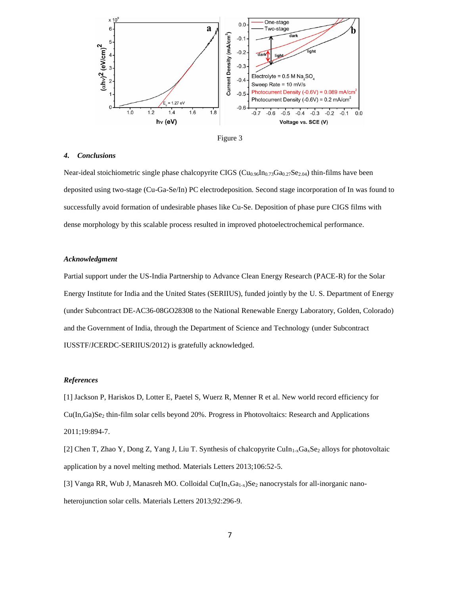



#### *4. Conclusions*

Near-ideal stoichiometric single phase chalcopyrite CIGS ( $Cu_{0.96}In_{0.73}Ga_{0.27}Se_{2.04}$ ) thin-films have been deposited using two-stage (Cu-Ga-Se/In) PC electrodeposition. Second stage incorporation of In was found to successfully avoid formation of undesirable phases like Cu-Se. Deposition of phase pure CIGS films with dense morphology by this scalable process resulted in improved photoelectrochemical performance.

#### *Acknowledgment*

Partial support under the US-India Partnership to Advance Clean Energy Research (PACE-R) for the Solar Energy Institute for India and the United States (SERIIUS), funded jointly by the U. S. Department of Energy (under Subcontract DE-AC36-08GO28308 to the National Renewable Energy Laboratory, Golden, Colorado) and the Government of India, through the Department of Science and Technology (under Subcontract IUSSTF/JCERDC-SERIIUS/2012) is gratefully acknowledged.

#### *References*

[1] Jackson P, Hariskos D, Lotter E, Paetel S, Wuerz R, Menner R et al. New world record efficiency for  $Cu(In,Ga)Se<sub>2</sub>$  thin-film solar cells beyond 20%. Progress in Photovoltaics: Research and Applications 2011;19:894-7.

[2] Chen T, Zhao Y, Dong Z, Yang J, Liu T. Synthesis of chalcopyrite CuIn<sub>1-x</sub>Ga<sub>x</sub>Se<sub>2</sub> alloys for photovoltaic application by a novel melting method. Materials Letters 2013;106:52-5.

[3] Vanga RR, Wub J, Manasreh MO. Colloidal Cu( $In_xGa_{1-x}$ )Se<sub>2</sub> nanocrystals for all-inorganic nanoheterojunction solar cells. Materials Letters 2013;92:296-9.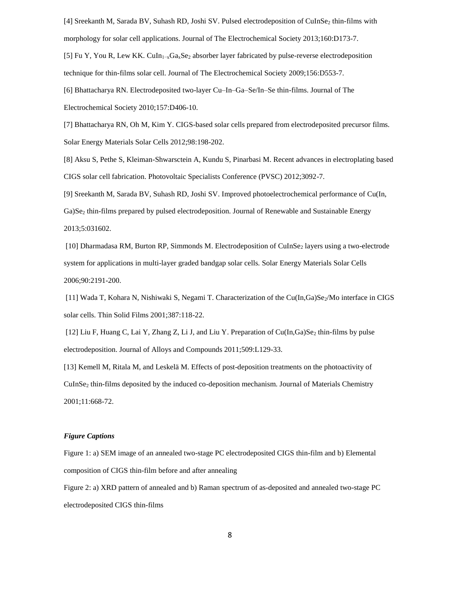[4] Sreekanth M, Sarada BV, Suhash RD, Joshi SV. Pulsed electrodeposition of CuInSe<sub>2</sub> thin-films with morphology for solar cell applications. Journal of The Electrochemical Society 2013;160:D173-7.

[5] Fu Y, You R, Lew KK. CuIn1−xGaxSe<sup>2</sup> absorber layer fabricated by pulse-reverse electrodeposition technique for thin-films solar cell. Journal of The Electrochemical Society 2009;156:D553-7.

[6] Bhattacharya RN. Electrodeposited two-layer Cu–In–Ga–Se/In–Se thin-films. Journal of The Electrochemical Society 2010;157:D406-10.

[7] Bhattacharya RN, Oh M, Kim Y. CIGS-based solar cells prepared from electrodeposited precursor films. Solar Energy Materials Solar Cells 2012;98:198-202.

[8] Aksu S, Pethe S, Kleiman-Shwarsctein A, Kundu S, Pinarbasi M. Recent advances in electroplating based CIGS solar cell fabrication. Photovoltaic Specialists Conference (PVSC) 2012;3092-7.

[9] Sreekanth M, Sarada BV, Suhash RD, Joshi SV. Improved photoelectrochemical performance of Cu(In, Ga)Se<sup>2</sup> thin-films prepared by pulsed electrodeposition. Journal of Renewable and Sustainable Energy 2013;5:031602.

[10] Dharmadasa RM, Burton RP, Simmonds M. Electrodeposition of CuInSe<sub>2</sub> layers using a two-electrode system for applications in multi-layer graded bandgap solar cells. Solar Energy Materials Solar Cells 2006;90:2191-200.

[11] Wada T, Kohara N, Nishiwaki S, Negami T. Characterization of the Cu(In,Ga)Se<sub>2</sub>/Mo interface in CIGS solar cells. Thin Solid Films 2001;387:118-22.

[12] Liu F, Huang C, Lai Y, Zhang Z, Li J, and Liu Y. Preparation of  $Cu(In, Ga)Se<sub>2</sub> thin-films by pulse$ electrodeposition. Journal of Alloys and Compounds 2011;509:L129-33.

[13] Kemell M, Ritala M, and Leskelä M. Effects of post-deposition treatments on the photoactivity of CuInSe<sup>2</sup> thin-films deposited by the induced co-deposition mechanism. Journal of Materials Chemistry 2001;11:668-72.

#### *Figure Captions*

Figure 1: a) SEM image of an annealed two-stage PC electrodeposited CIGS thin-film and b) Elemental composition of CIGS thin-film before and after annealing

Figure 2: a) XRD pattern of annealed and b) Raman spectrum of as-deposited and annealed two-stage PC electrodeposited CIGS thin-films